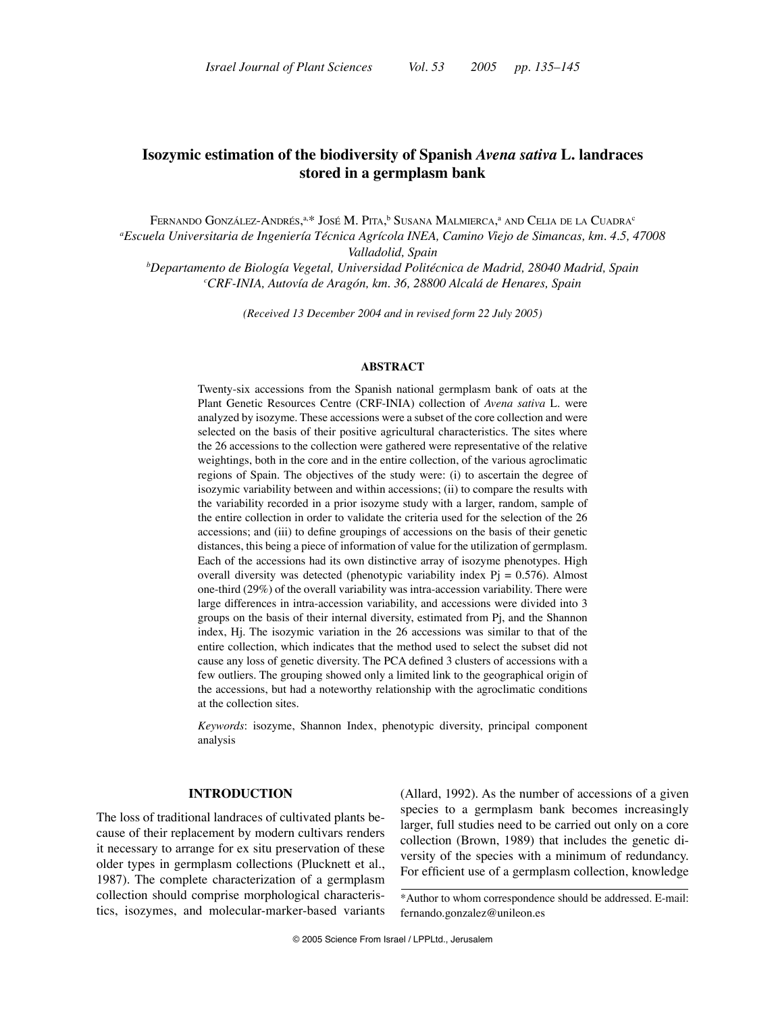# **Isozymic estimation of the biodiversity of Spanish** *Avena sativa* **L. landraces stored in a germplasm bank**

Fernando González-Andrés,ª.\* José M. Pita,<sup>b</sup> Susana Malmierca,ª and Celia de la Cuadra<sup>c</sup> *a Escuela Universitaria de Ingeniería Técnica Agrícola INEA, Camino Viejo de Simancas, km. 4.5, 47008 Valladolid, Spain*

*b Departamento de Biología Vegetal, Universidad Politécnica de Madrid, 28040 Madrid, Spain c CRF-INIA, Autovía de Aragón, km. 36, 28800 Alcalá de Henares, Spain*

*(Received 13 December 2004 and in revised form 22 July 2005)* 

### **ABSTRACT**

Twenty-six accessions from the Spanish national germplasm bank of oats at the Plant Genetic Resources Centre (CRF-INIA) collection of *Avena sativa* L. were analyzed by isozyme. These accessions were a subset of the core collection and were selected on the basis of their positive agricultural characteristics. The sites where the 26 accessions to the collection were gathered were representative of the relative weightings, both in the core and in the entire collection, of the various agroclimatic regions of Spain. The objectives of the study were: (i) to ascertain the degree of isozymic variability between and within accessions; (ii) to compare the results with the variability recorded in a prior isozyme study with a larger, random, sample of the entire collection in order to validate the criteria used for the selection of the 26 accessions; and (iii) to define groupings of accessions on the basis of their genetic distances, this being a piece of information of value for the utilization of germplasm. Each of the accessions had its own distinctive array of isozyme phenotypes. High overall diversity was detected (phenotypic variability index  $Pj = 0.576$ ). Almost one-third (29%) of the overall variability was intra-accession variability. There were large differences in intra-accession variability, and accessions were divided into 3 groups on the basis of their internal diversity, estimated from Pj, and the Shannon index, Hj. The isozymic variation in the 26 accessions was similar to that of the entire collection, which indicates that the method used to select the subset did not cause any loss of genetic diversity. The PCA defined 3 clusters of accessions with a few outliers. The grouping showed only a limited link to the geographical origin of the accessions, but had a noteworthy relationship with the agroclimatic conditions at the collection sites.

*Keywords*: isozyme, Shannon Index, phenotypic diversity, principal component analysis

### **INTRODUCTION**

The loss of traditional landraces of cultivated plants because of their replacement by modern cultivars renders it necessary to arrange for ex situ preservation of these older types in germplasm collections (Plucknett et al., 1987). The complete characterization of a germplasm collection should comprise morphological characteristics, isozymes, and molecular-marker-based variants (Allard, 1992). As the number of accessions of a given species to a germplasm bank becomes increasingly larger, full studies need to be carried out only on a core collection (Brown, 1989) that includes the genetic diversity of the species with a minimum of redundancy. For efficient use of a germplasm collection, knowledge

<sup>\*</sup>Author to whom correspondence should be addressed. E-mail: fernando.gonzalez@unileon.es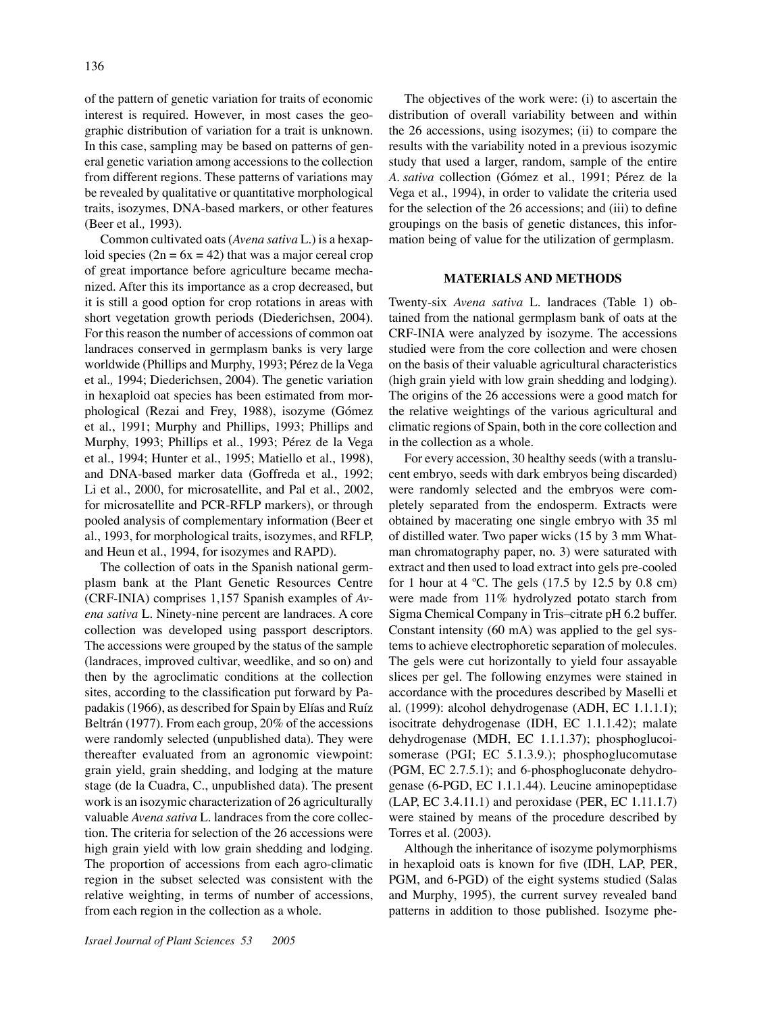of the pattern of genetic variation for traits of economic interest is required. However, in most cases the geographic distribution of variation for a trait is unknown. In this case, sampling may be based on patterns of general genetic variation among accessions to the collection from different regions. These patterns of variations may be revealed by qualitative or quantitative morphological traits, isozymes, DNA-based markers, or other features (Beer et al*.,* 1993).

Common cultivated oats (*Avena sativa* L.) is a hexaploid species  $(2n = 6x = 42)$  that was a major cereal crop of great importance before agriculture became mechanized. After this its importance as a crop decreased, but it is still a good option for crop rotations in areas with short vegetation growth periods (Diederichsen, 2004). For this reason the number of accessions of common oat landraces conserved in germplasm banks is very large worldwide (Phillips and Murphy, 1993; Pérez de la Vega et al*.,* 1994; Diederichsen, 2004). The genetic variation in hexaploid oat species has been estimated from morphological (Rezai and Frey, 1988), isozyme (Gómez et al., 1991; Murphy and Phillips, 1993; Phillips and Murphy, 1993; Phillips et al., 1993; Pérez de la Vega et al., 1994; Hunter et al., 1995; Matiello et al., 1998), and DNA-based marker data (Goffreda et al., 1992; Li et al., 2000, for microsatellite, and Pal et al., 2002, for microsatellite and PCR-RFLP markers), or through pooled analysis of complementary information (Beer et al., 1993, for morphological traits, isozymes, and RFLP, and Heun et al., 1994, for isozymes and RAPD).

The collection of oats in the Spanish national germplasm bank at the Plant Genetic Resources Centre (CRF-INIA) comprises 1,157 Spanish examples of *Avena sativa* L. Ninety-nine percent are landraces. A core collection was developed using passport descriptors. The accessions were grouped by the status of the sample (landraces, improved cultivar, weedlike, and so on) and then by the agroclimatic conditions at the collection sites, according to the classification put forward by Papadakis (1966), as described for Spain by Elías and Ruíz Beltrán (1977). From each group, 20% of the accessions were randomly selected (unpublished data). They were thereafter evaluated from an agronomic viewpoint: grain yield, grain shedding, and lodging at the mature stage (de la Cuadra, C., unpublished data). The present work is an isozymic characterization of 26 agriculturally valuable *Avena sativa* L. landraces from the core collection. The criteria for selection of the 26 accessions were high grain yield with low grain shedding and lodging. The proportion of accessions from each agro-climatic region in the subset selected was consistent with the relative weighting, in terms of number of accessions, from each region in the collection as a whole.

The objectives of the work were: (i) to ascertain the distribution of overall variability between and within the 26 accessions, using isozymes; (ii) to compare the results with the variability noted in a previous isozymic study that used a larger, random, sample of the entire *A. sativa* collection (Gómez et al., 1991; Pérez de la Vega et al., 1994), in order to validate the criteria used for the selection of the 26 accessions; and (iii) to define groupings on the basis of genetic distances, this information being of value for the utilization of germplasm.

### **MATERIALS AND METHODS**

Twenty-six *Avena sativa* L. landraces (Table 1) obtained from the national germplasm bank of oats at the CRF-INIA were analyzed by isozyme. The accessions studied were from the core collection and were chosen on the basis of their valuable agricultural characteristics (high grain yield with low grain shedding and lodging). The origins of the 26 accessions were a good match for the relative weightings of the various agricultural and climatic regions of Spain, both in the core collection and in the collection as a whole.

For every accession, 30 healthy seeds (with a translucent embryo, seeds with dark embryos being discarded) were randomly selected and the embryos were completely separated from the endosperm. Extracts were obtained by macerating one single embryo with 35 ml of distilled water. Two paper wicks (15 by 3 mm Whatman chromatography paper, no. 3) were saturated with extract and then used to load extract into gels pre-cooled for 1 hour at 4  $^{\circ}$ C. The gels (17.5 by 12.5 by 0.8 cm) were made from 11% hydrolyzed potato starch from Sigma Chemical Company in Tris–citrate pH 6.2 buffer. Constant intensity (60 mA) was applied to the gel systems to achieve electrophoretic separation of molecules. The gels were cut horizontally to yield four assayable slices per gel. The following enzymes were stained in accordance with the procedures described by Maselli et al. (1999): alcohol dehydrogenase (ADH, EC 1.1.1.1); isocitrate dehydrogenase (IDH, EC 1.1.1.42); malate dehydrogenase (MDH, EC 1.1.1.37); phosphoglucoisomerase (PGI; EC 5.1.3.9.); phosphoglucomutase (PGM, EC 2.7.5.1); and 6-phosphogluconate dehydrogenase (6-PGD, EC 1.1.1.44). Leucine aminopeptidase (LAP, EC 3.4.11.1) and peroxidase (PER, EC 1.11.1.7) were stained by means of the procedure described by Torres et al. (2003).

Although the inheritance of isozyme polymorphisms in hexaploid oats is known for five (IDH, LAP, PER, PGM, and 6-PGD) of the eight systems studied (Salas and Murphy, 1995), the current survey revealed band patterns in addition to those published. Isozyme phe-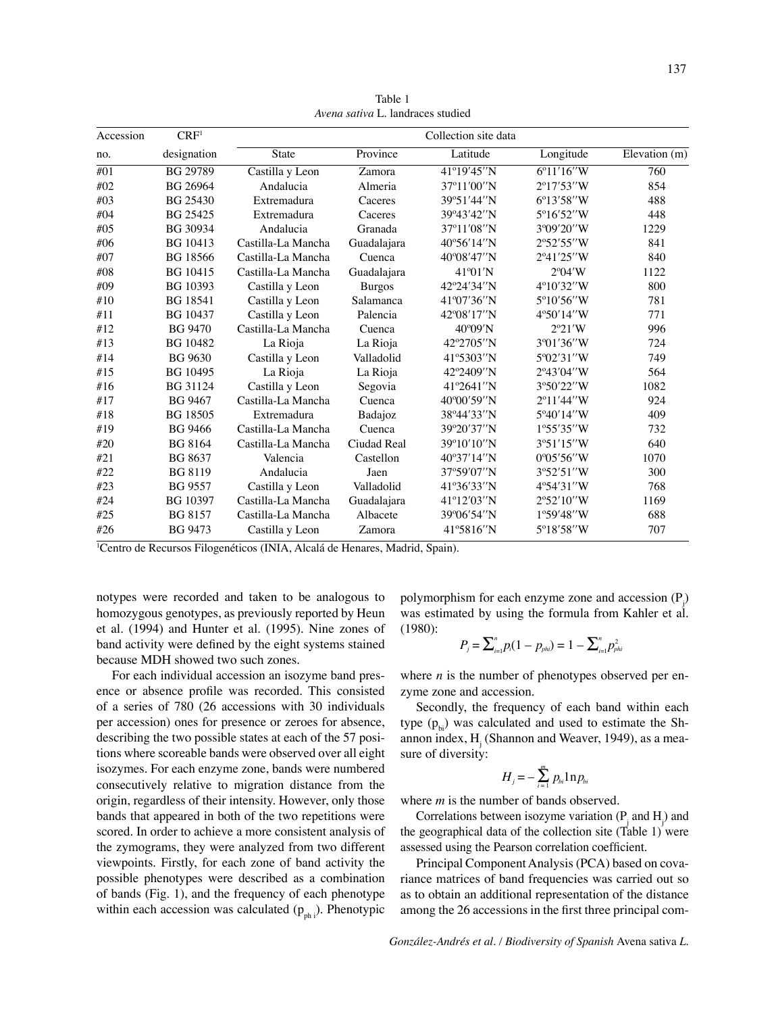| Accession | CRF <sup>1</sup> |                    |               | Collection site data |                     |               |
|-----------|------------------|--------------------|---------------|----------------------|---------------------|---------------|
| no.       | designation      | State              | Province      | Latitude             | Longitude           | Elevation (m) |
| #01       | BG 29789         | Castilla y Leon    | Zamora        | 41°19'45"N           | 6°11'16"W           | 760           |
| #02       | BG 26964         | Andalucia          | Almeria       | 37°11'00"N           | 2°17'53"W           | 854           |
| #03       | <b>BG 25430</b>  | Extremadura        | Caceres       | 39°51'44"N           | $6^{\circ}13'58''W$ | 488           |
| #04       | BG 25425         | Extremadura        | Caceres       | 39°43'42"N           | 5°16'52″W           | 448           |
| #05       | BG 30934         | Andalucia          | Granada       | 37°11'08"N           | 3°09'20"W           | 1229          |
| #06       | BG 10413         | Castilla-La Mancha | Guadalajara   | $40^{\circ}56'14''N$ | 2°52'55"W           | 841           |
| #07       | <b>BG</b> 18566  | Castilla-La Mancha | Cuenca        | 40°08'47"N           | 2°41'25"W           | 840           |
| #08       | BG 10415         | Castilla-La Mancha | Guadalajara   | 41°01'N              | $2^{\circ}04'W$     | 1122          |
| #09       | BG 10393         | Castilla y Leon    | <b>Burgos</b> | 42°24'34"N           | 4°10'32"W           | 800           |
| #10       | <b>BG</b> 18541  | Castilla y Leon    | Salamanca     | 41°07'36"N           | 5°10'56"W           | 781           |
| #11       | <b>BG</b> 10437  | Castilla y Leon    | Palencia      | 42°08'17"N           | 4°50'14"W           | 771           |
| #12       | <b>BG 9470</b>   | Castilla-La Mancha | Cuenca        | 40°09'N              | $2^{\circ}21'W$     | 996           |
| #13       | <b>BG</b> 10482  | La Rioja           | La Rioja      | 42°2705″N            | 3°01'36"W           | 724           |
| #14       | <b>BG 9630</b>   | Castilla y Leon    | Valladolid    | 41°5303″N            | 5°02'31″W           | 749           |
| #15       | <b>BG</b> 10495  | La Rioja           | La Rioja      | 42°2409″N            | 2°43'04"W           | 564           |
| #16       | <b>BG</b> 31124  | Castilla y Leon    | Segovia       | 41°2641″N            | 3°50'22"W           | 1082          |
| #17       | <b>BG 9467</b>   | Castilla-La Mancha | Cuenca        | 40°00'59"N           | $2^{\circ}11'44''W$ | 924           |
| #18       | <b>BG</b> 18505  | Extremadura        | Badajoz       | 38°44'33"N           | 5°40'14″W           | 409           |
| #19       | <b>BG 9466</b>   | Castilla-La Mancha | Cuenca        | 39°20'37"N           | 1°55'35''W          | 732           |
| #20       | <b>BG</b> 8164   | Castilla-La Mancha | Ciudad Real   | 39°10'10"N           | 3°51'15"W           | 640           |
| #21       | BG 8637          | Valencia           | Castellon     | 40°37'14"N           | 0°05'56''W          | 1070          |
| #22       | <b>BG 8119</b>   | Andalucia          | Jaen          | 37°59'07"N           | 3°52'51"W           | 300           |
| #23       | <b>BG 9557</b>   | Castilla y Leon    | Valladolid    | 41°36'33"N           | 4°54'31"W           | 768           |
| #24       | <b>BG 10397</b>  | Castilla-La Mancha | Guadalajara   | 41°12'03"N           | 2°52'10"W           | 1169          |
| #25       | <b>BG 8157</b>   | Castilla-La Mancha | Albacete      | 39°06′54″N           | 1°59'48''W          | 688           |
| #26       | <b>BG 9473</b>   | Castilla y Leon    | Zamora        | 41°5816″N            | 5°18'58"W           | 707           |

Table 1 *Avena sativa* L. landraces studied

1 Centro de Recursos Filogenéticos (INIA, Alcalá de Henares, Madrid, Spain).

notypes were recorded and taken to be analogous to homozygous genotypes, as previously reported by Heun et al. (1994) and Hunter et al. (1995). Nine zones of band activity were defined by the eight systems stained because MDH showed two such zones.

For each individual accession an isozyme band presence or absence profile was recorded. This consisted of a series of 780 (26 accessions with 30 individuals per accession) ones for presence or zeroes for absence, describing the two possible states at each of the 57 positions where scoreable bands were observed over all eight isozymes. For each enzyme zone, bands were numbered consecutively relative to migration distance from the origin, regardless of their intensity. However, only those bands that appeared in both of the two repetitions were scored. In order to achieve a more consistent analysis of the zymograms, they were analyzed from two different viewpoints. Firstly, for each zone of band activity the possible phenotypes were described as a combination of bands (Fig. 1), and the frequency of each phenotype within each accession was calculated  $(p_{ph i})$ . Phenotypic

polymorphism for each enzyme zone and accession  $(P_j)$ was estimated by using the formula from Kahler et al. (1980):

$$
P_{j} = \sum_{i=1}^{n} p_{i} (1 - p_{phi}) = 1 - \sum_{i=1}^{n} p_{phi}^{2}
$$

where  $n$  is the number of phenotypes observed per enzyme zone and accession.

Secondly, the frequency of each band within each type  $(p_{bi})$  was calculated and used to estimate the Shannon index,  $H<sub>j</sub>$  (Shannon and Weaver, 1949), as a measure of diversity:

$$
H_j = -\sum_{i=1}^m p_{bi} \ln p_{bi}
$$

where *m* is the number of bands observed.

Correlations between isozyme variation  $(P_j$  and  $H_j$ ) and the geographical data of the collection site (Table 1) were assessed using the Pearson correlation coefficient.

Principal Component Analysis (PCA) based on covariance matrices of band frequencies was carried out so as to obtain an additional representation of the distance among the 26 accessions in the first three principal com-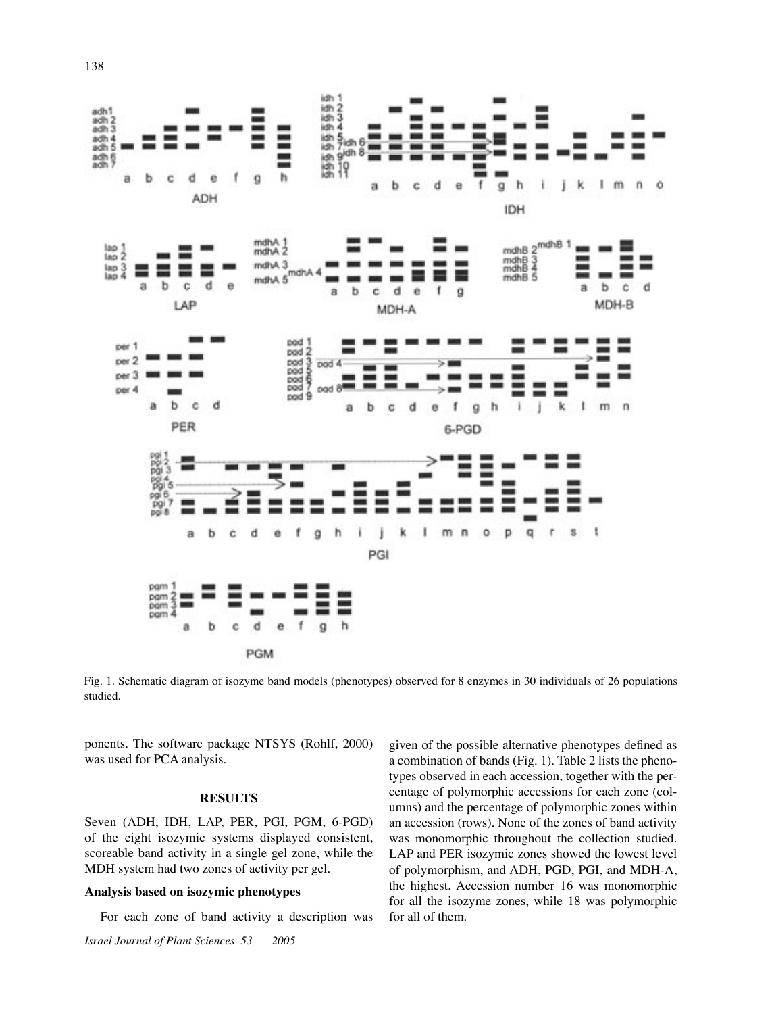

Fig. 1. Schematic diagram of isozyme band models (phenotypes) observed for 8 enzymes in 30 individuals of 26 populations studied.

ponents. The software package NTSYS (Rohlf, 2000) was used for PCA analysis.

### **RESULTS**

Seven (ADH, IDH, LAP, PER, PGI, PGM, 6-PGD) of the eight isozymic systems displayed consistent, scoreable band activity in a single gel zone, while the MDH system had two zones of activity per gel.

## **Analysis based on isozymic phenotypes**

For each zone of band activity a description was

given of the possible alternative phenotypes defined as a combination of bands (Fig. 1). Table 2 lists the phenotypes observed in each accession, together with the percentage of polymorphic accessions for each zone (columns) and the percentage of polymorphic zones within an accession (rows). None of the zones of band activity was monomorphic throughout the collection studied. LAP and PER isozymic zones showed the lowest level of polymorphism, and ADH, PGD, PGI, and MDH-A, the highest. Accession number 16 was monomorphic for all the isozyme zones, while 18 was polymorphic for all of them.

*Israel Journal of Plant Sciences 53 2005*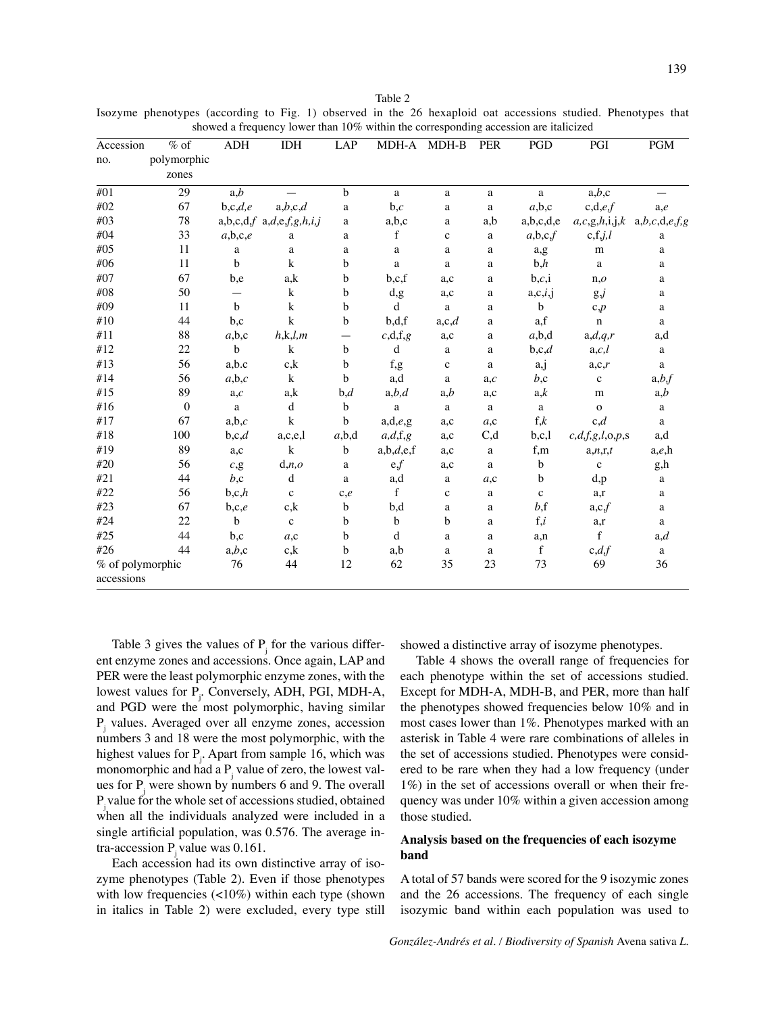Isozyme phenotypes (according to Fig. 1) observed in the 26 hexaploid oat accessions studied. Phenotypes that showed a frequency lower than 10% within the corresponding accession are italicized

| Accession        | $%$ of       | <b>ADH</b>      | <b>IDH</b>                    | LAP               | MDH-A          | MDH-B        | <b>PER</b>   | PGD         | PGI             | <b>PGM</b>    |
|------------------|--------------|-----------------|-------------------------------|-------------------|----------------|--------------|--------------|-------------|-----------------|---------------|
| no.              | polymorphic  |                 |                               |                   |                |              |              |             |                 |               |
|                  | zones        |                 |                               |                   |                |              |              |             |                 |               |
| #01              | 29           | a,b             |                               | $\mathbf b$       | a              | a            | a            | a           | a,b,c           |               |
| #02              | 67           | b,c,d,e         | a,b,c,d                       | a                 | b,c            | $\rm{a}$     | a            | a,b,c       | c,d,e,f         | a,e           |
| #03              | 78           |                 | $a,b,c,d,f$ $a,d,e,f,g,h,i,j$ | a                 | a,b,c          | a            | a,b          | a,b,c,d,e   | a,c,g,h,i,j,k   | a,b,c,d,e,f,g |
| #04              | 33           | a,b,c,e         | $\rm{a}$                      | a                 | $\mathbf f$    | $\mathbf c$  | $\mathbf{a}$ | a,b,c,f     | c, f, j, l      | a             |
| #05              | 11           | $\mathbf a$     | $\rm{a}$                      | a                 | a              | $\mathbf a$  | $\rm{a}$     | a,g         | ${\bf m}$       | a             |
| #06              | 11           | $\mathbf b$     | $\bf k$                       | b                 | a              | $\rm{a}$     | a            | b,h         | $\mathbf{a}$    | a             |
| #07              | 67           | b,e             | a,k                           | b                 | b,c,f          | a,c          | a            | b,c,i       | n,o             | a             |
| #08              | 50           | $\qquad \qquad$ | $\bf k$                       | $\mathbf b$       | d.g.           | a,c          | a            | a,c,i,j     | $g_{\nu}$       | $\mathbf{a}$  |
| #09              | 11           | $\mathbf b$     | $\bf k$                       | $\mathbf b$       | d              | $\rm{a}$     | $\bf{a}$     | b           | c,p             | $\rm{a}$      |
| #10              | 44           | b,c             | $\bf k$                       | $\mathbf b$       | b,d,f          | a,c,d        | a            | a,f         | $\mathbf n$     | a             |
| #11              | 88           | a,b,c           | h, k, l, m                    | $\qquad \qquad -$ | c,d,f,g        | a,c          | a            | a,b,d       | a,d,q,r         | a,d           |
| #12              | 22           | $\mathbf b$     | $\bf k$                       | $\mathbf b$       | d              | a            | $\mathbf{a}$ | b,c,d       | a,c,l           | a             |
| #13              | 56           | a,b.c           | c, k                          | $\mathbf b$       | f,g            | $\mathbf c$  | a            | a,j         | a,c,r           | $\mathbf{a}$  |
| #14              | 56           | a,b,c           | k                             | $\mathbf b$       | a,d            | $\mathbf{a}$ | a,c          | b,c         | $\mathbf c$     | a,b,f         |
| #15              | 89           | a,c             | a,k                           | b,d               | a,b,d          | a,b          | a,c          | a,k         | m               | a,b           |
| #16              | $\mathbf{0}$ | $\mathbf{a}$    | $\mathbf d$                   | $\mathbf b$       | $\mathbf{a}$   | $\rm{a}$     | $\mathbf{a}$ | a           | $\mathbf{o}$    | a             |
| #17              | 67           | a,b,c           | $\mathbf k$                   | b                 | a,d,e,g        | a,c          | a,c          | f,k         | c,d             | a             |
| #18              | 100          | b,c,d           | a,c,e,l                       | a,b,d             | a,d,f,g        | a,c          | C,d          | b,c,l       | c,d,f,g,l,o,p,s | a,d           |
| #19              | 89           | a,c             | $\mathbf k$                   | $\mathbf b$       | a,b,d,e,f      | a,c          | a            | f,m         | a,n,r,t         | a,e,h         |
| #20              | 56           | c, g            | d, n, o                       | a                 | e <sub>f</sub> | a,c          | $\mathbf{a}$ | b           | $\mathbf{C}$    | g,h           |
| #21              | 44           | b,c             | $\mathbf d$                   | a                 | a,d            | a            | a,c          | b           | d,p             | $\rm{a}$      |
| #22              | 56           | b,c,h           | $\mathbf c$                   | c,e               | $\mathbf{f}$   | $\mathbf c$  | a            | $\mathbf c$ | a,r             | a             |
| #23              | 67           | b,c,e           | c, k                          | $\mathbf b$       | b,d            | $\rm{a}$     | a            | b, f        | a,c,f           | a             |
| #24              | 22           | $\mathbf b$     | $\mathbf c$                   | $\mathbf b$       | $\mathbf b$    | b            | $\mathbf{a}$ | f, i        | a,r             | a             |
| #25              | 44           | b,c             | a,c                           | $\mathbf b$       | d              | $\mathbf a$  | $\mathbf{a}$ | a,n         | f               | a,d           |
| #26              | 44           | a,b,c           | c, k                          | $\mathbf b$       | a,b            | $\rm{a}$     | $\rm{a}$     | $\mathbf f$ | c,d,f           | $\mathbf{a}$  |
| % of polymorphic |              | 76              | 44                            | 12                | 62             | 35           | 23           | 73          | 69              | 36            |
| accessions       |              |                 |                               |                   |                |              |              |             |                 |               |

Table 3 gives the values of  $P_j$  for the various different enzyme zones and accessions. Once again, LAP and PER were the least polymorphic enzyme zones, with the lowest values for P<sub>j</sub>. Conversely, ADH, PGI, MDH-A, and PGD were the most polymorphic, having similar Pj values. Averaged over all enzyme zones, accession numbers 3 and 18 were the most polymorphic, with the highest values for  $P_j$ . Apart from sample 16, which was monomorphic and had a  $P_j$  value of zero, the lowest values for  $P_j$  were shown by numbers 6 and 9. The overall Pj value for the whole set of accessions studied, obtained when all the individuals analyzed were included in a single artificial population, was 0.576. The average intra-accession  $P_i$  value was 0.161.

Each accession had its own distinctive array of isozyme phenotypes (Table 2). Even if those phenotypes with low frequencies (<10%) within each type (shown in italics in Table 2) were excluded, every type still showed a distinctive array of isozyme phenotypes.

Table 4 shows the overall range of frequencies for each phenotype within the set of accessions studied. Except for MDH-A, MDH-B, and PER, more than half the phenotypes showed frequencies below 10% and in most cases lower than 1%. Phenotypes marked with an asterisk in Table 4 were rare combinations of alleles in the set of accessions studied. Phenotypes were considered to be rare when they had a low frequency (under 1%) in the set of accessions overall or when their frequency was under 10% within a given accession among those studied.

### **Analysis based on the frequencies of each isozyme band**

A total of 57 bands were scored for the 9 isozymic zones and the 26 accessions. The frequency of each single isozymic band within each population was used to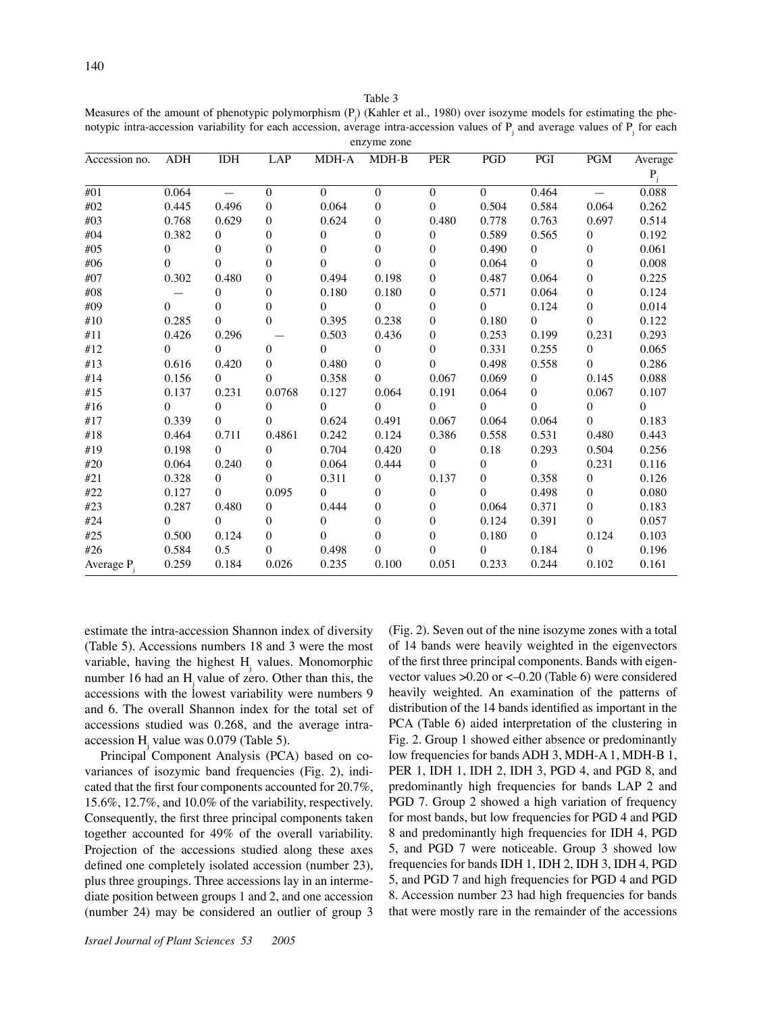Table 3

Measures of the amount of phenotypic polymorphism  $(P_j)$  (Kahler et al., 1980) over isozyme models for estimating the phenotypic intra-accession variability for each accession, average intra-accession values of  $P_j$  and average values of  $P_j$  for each enzyme zone

| Accession no. | <b>ADH</b> | <b>IDH</b> | LAP              | MDH-A        | MDH-B        | <b>PER</b>       | PGD          | PGI            | $\mathbf{PGM}$   | Average                   |
|---------------|------------|------------|------------------|--------------|--------------|------------------|--------------|----------------|------------------|---------------------------|
|               |            |            |                  |              |              |                  |              |                |                  | $\mathbf{P}_{\mathrm{j}}$ |
| #01           | 0.064      | $\equiv$   | $\mathbf{0}$     | $\mathbf{0}$ | $\mathbf{0}$ | $\mathbf{0}$     | $\Omega$     | 0.464          | $=$              | 0.088                     |
| #02           | 0.445      | 0.496      | $\mathbf{0}$     | 0.064        | $\mathbf{0}$ | $\theta$         | 0.504        | 0.584          | 0.064            | 0.262                     |
| #03           | 0.768      | 0.629      | $\mathbf{0}$     | 0.624        | $\mathbf{0}$ | 0.480            | 0.778        | 0.763          | 0.697            | 0.514                     |
| #04           | 0.382      | $\Omega$   | $\mathbf{0}$     | $\mathbf{0}$ | $\mathbf{0}$ | $\mathbf{0}$     | 0.589        | 0.565          | $\boldsymbol{0}$ | 0.192                     |
| #05           | $\theta$   | $\Omega$   | $\boldsymbol{0}$ | $\mathbf{0}$ | $\mathbf{0}$ | $\boldsymbol{0}$ | 0.490        | $\overline{0}$ | $\boldsymbol{0}$ | 0.061                     |
| #06           | 0          | $\Omega$   | $\mathbf{0}$     | $\Omega$     | $\Omega$     | $\boldsymbol{0}$ | 0.064        | $\Omega$       | $\boldsymbol{0}$ | 0.008                     |
| #07           | 0.302      | 0.480      | $\overline{0}$   | 0.494        | 0.198        | $\boldsymbol{0}$ | 0.487        | 0.064          | $\boldsymbol{0}$ | 0.225                     |
| #08           |            | $\theta$   | $\theta$         | 0.180        | 0.180        | 0                | 0.571        | 0.064          | $\boldsymbol{0}$ | 0.124                     |
| #09           | $\Omega$   | $\Omega$   | $\boldsymbol{0}$ | $\theta$     | $\Omega$     | 0                | $\Omega$     | 0.124          | $\boldsymbol{0}$ | 0.014                     |
| #10           | 0.285      | $\Omega$   | $\theta$         | 0.395        | 0.238        | $\boldsymbol{0}$ | 0.180        | $\Omega$       | $\mathbf{0}$     | 0.122                     |
| #11           | 0.426      | 0.296      |                  | 0.503        | 0.436        | $\boldsymbol{0}$ | 0.253        | 0.199          | 0.231            | 0.293                     |
| #12           | $\Omega$   | $\Omega$   | $\mathbf{0}$     | $\Omega$     | $\mathbf{0}$ | $\boldsymbol{0}$ | 0.331        | 0.255          | $\boldsymbol{0}$ | 0.065                     |
| #13           | 0.616      | 0.420      | $\Omega$         | 0.480        | $\Omega$     | $\Omega$         | 0.498        | 0.558          | $\mathbf{0}$     | 0.286                     |
| #14           | 0.156      | $\Omega$   | $\theta$         | 0.358        | $\Omega$     | 0.067            | 0.069        | $\overline{0}$ | 0.145            | 0.088                     |
| #15           | 0.137      | 0.231      | 0.0768           | 0.127        | 0.064        | 0.191            | 0.064        | $\overline{0}$ | 0.067            | 0.107                     |
| #16           | $\Omega$   | $\Omega$   | $\Omega$         | $\Omega$     | $\Omega$     | $\Omega$         | $\Omega$     | $\Omega$       | $\boldsymbol{0}$ | $\theta$                  |
| #17           | 0.339      | $\theta$   | $\Omega$         | 0.624        | 0.491        | 0.067            | 0.064        | 0.064          | $\mathbf{0}$     | 0.183                     |
| #18           | 0.464      | 0.711      | 0.4861           | 0.242        | 0.124        | 0.386            | 0.558        | 0.531          | 0.480            | 0.443                     |
| #19           | 0.198      | $\theta$   | $\Omega$         | 0.704        | 0.420        | $\overline{0}$   | 0.18         | 0.293          | 0.504            | 0.256                     |
| #20           | 0.064      | 0.240      | $\Omega$         | 0.064        | 0.444        | $\mathbf{0}$     | $\mathbf{0}$ | $\Omega$       | 0.231            | 0.116                     |
| #21           | 0.328      | $\Omega$   | $\Omega$         | 0.311        | $\mathbf{0}$ | 0.137            | $\theta$     | 0.358          | $\boldsymbol{0}$ | 0.126                     |
| #22           | 0.127      | $\Omega$   | 0.095            | $\theta$     | $\mathbf{0}$ | $\boldsymbol{0}$ | $\Omega$     | 0.498          | $\boldsymbol{0}$ | 0.080                     |
| #23           | 0.287      | 0.480      | $\Omega$         | 0.444        | $\Omega$     | $\mathbf{0}$     | 0.064        | 0.371          | $\boldsymbol{0}$ | 0.183                     |
| #24           | $\theta$   | $\theta$   | $\Omega$         | $\theta$     | $\Omega$     | 0                | 0.124        | 0.391          | $\mathbf{0}$     | 0.057                     |
| #25           | 0.500      | 0.124      | $\theta$         | $\theta$     | $\Omega$     | $\boldsymbol{0}$ | 0.180        | $\Omega$       | 0.124            | 0.103                     |
| #26           | 0.584      | 0.5        | $\Omega$         | 0.498        | $\Omega$     | 0                | $\Omega$     | 0.184          | $\mathbf{0}$     | 0.196                     |
| Average $P_3$ | 0.259      | 0.184      | 0.026            | 0.235        | 0.100        | 0.051            | 0.233        | 0.244          | 0.102            | 0.161                     |

estimate the intra-accession Shannon index of diversity (Table 5). Accessions numbers 18 and 3 were the most variable, having the highest  $H_j$  values. Monomorphic number 16 had an H<sub>i</sub> value of zero. Other than this, the accessions with the lowest variability were numbers 9 and 6. The overall Shannon index for the total set of accessions studied was 0.268, and the average intraaccession  $H_j$  value was 0.079 (Table 5).

Principal Component Analysis (PCA) based on covariances of isozymic band frequencies (Fig. 2), indicated that the first four components accounted for 20.7%, 15.6%, 12.7%, and 10.0% of the variability, respectively. Consequently, the first three principal components taken together accounted for 49% of the overall variability. Projection of the accessions studied along these axes defined one completely isolated accession (number 23), plus three groupings. Three accessions lay in an intermediate position between groups 1 and 2, and one accession (number 24) may be considered an outlier of group 3

(Fig. 2). Seven out of the nine isozyme zones with a total of 14 bands were heavily weighted in the eigenvectors of the first three principal components. Bands with eigenvector values >0.20 or <–0.20 (Table 6) were considered heavily weighted. An examination of the patterns of distribution of the 14 bands identified as important in the PCA (Table 6) aided interpretation of the clustering in Fig. 2. Group 1 showed either absence or predominantly low frequencies for bands ADH 3, MDH-A 1, MDH-B 1, PER 1, IDH 1, IDH 2, IDH 3, PGD 4, and PGD 8, and predominantly high frequencies for bands LAP 2 and PGD 7. Group 2 showed a high variation of frequency for most bands, but low frequencies for PGD 4 and PGD 8 and predominantly high frequencies for IDH 4, PGD 5, and PGD 7 were noticeable. Group 3 showed low frequencies for bands IDH 1, IDH 2, IDH 3, IDH 4, PGD 5, and PGD 7 and high frequencies for PGD 4 and PGD 8. Accession number 23 had high frequencies for bands that were mostly rare in the remainder of the accessions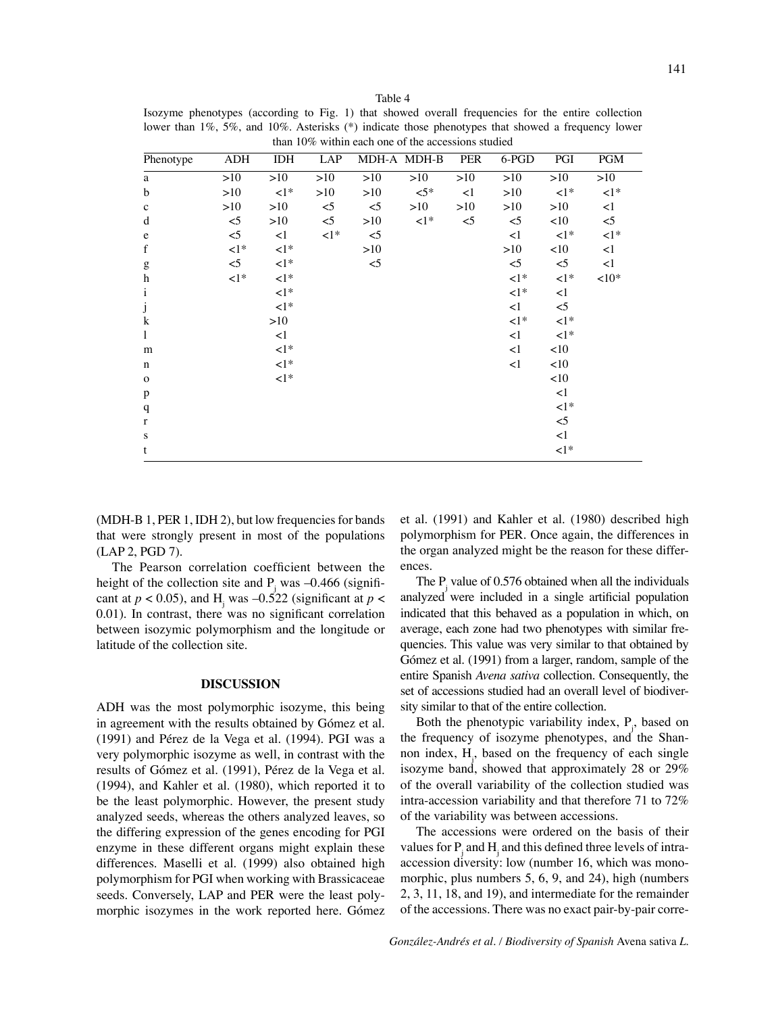Table 4 Isozyme phenotypes (according to Fig. 1) that showed overall frequencies for the entire collection lower than 1%, 5%, and 10%. Asterisks (\*) indicate those phenotypes that showed a frequency lower than 10% within each one of the accessions studied

| Phenotype                             | ADH        | IDH        | LAP        |        | MDH-A MDH-B | PER   | 6-PGD        | PGI          | <b>PGM</b>   |
|---------------------------------------|------------|------------|------------|--------|-------------|-------|--------------|--------------|--------------|
| a                                     | >10        | >10        | >10        | >10    | >10         | >10   | >10          | >10          | >10          |
| b                                     | >10        | $\leq 1$ * | >10        | >10    | $\leq 5*$   | <1    | >10          | $\leq 1$ *   | $\leq 1$ *   |
| $\mathbf c$                           | >10        | >10        | $<$ 5      | $\leq$ | >10         | >10   | >10          | >10          | $\leq$ 1     |
| d                                     | $<$ 5      | >10        | $\leq$     | >10    | $\leq 1$ *  | $<$ 5 | $<$ 5        | <10          | $<$ 5        |
| $\mathbf e$                           | $<$ 5      | $\leq$ 1   | $\leq 1$ * | $\leq$ |             |       | <1           | $\leq 1$ *   | $\langle$ 1* |
| $\mathbf f$                           | ${<}1^*$   | $\leq 1$ * |            | >10    |             |       | >10          | <10          | $\leq$ 1     |
| $\mathbf{g}$                          | $<$ 5      | $\leq 1$ * |            | $<$ 5  |             |       | $<$ 5        | $<$ 5        | $\leq$ 1     |
| $\bold{h}$                            | $\leq 1$ * | $\leq 1$ * |            |        |             |       | $\leq 1$ *   | $\leq 1$ *   | ${<}10*$     |
| $\rm i$                               |            | $\leq 1$ * |            |        |             |       | $\langle$ 1* | <1           |              |
| $\begin{array}{c} j \\ k \end{array}$ |            | $\leq 1$ * |            |        |             |       | <1           | $<$ 5        |              |
|                                       |            | >10        |            |        |             |       | $\leq 1$ *   | $\leq 1$ *   |              |
| $\mathbf{1}$                          |            | <1         |            |        |             |       | <1           | $\langle$ 1* |              |
| m                                     |            | $\leq 1$ * |            |        |             |       | <1           | <10          |              |
| $\mathbf n$                           |            | $\leq 1$ * |            |        |             |       | <1           | <10          |              |
| $\mathbf 0$                           |            | $\leq 1$ * |            |        |             |       |              | <10          |              |
| $\, {\bf p}$                          |            |            |            |        |             |       |              | <1           |              |
| $\mathbf q$                           |            |            |            |        |             |       |              | $\langle$ 1* |              |
| $\mathbf r$                           |            |            |            |        |             |       |              | $<$ 5        |              |
| ${\bf S}$                             |            |            |            |        |             |       |              | <1           |              |
| t                                     |            |            |            |        |             |       |              | $\leq 1$ *   |              |

(MDH-B 1, PER 1, IDH 2), but low frequencies for bands that were strongly present in most of the populations (LAP 2, PGD 7).

The Pearson correlation coefficient between the height of the collection site and  $P_j$  was  $-0.466$  (significant at  $p < 0.05$ ), and H<sub>j</sub> was  $-0.522$  (significant at  $p <$ 0.01). In contrast, there was no significant correlation between isozymic polymorphism and the longitude or latitude of the collection site.

#### **DISCUSSION**

ADH was the most polymorphic isozyme, this being in agreement with the results obtained by Gómez et al. (1991) and Pérez de la Vega et al. (1994). PGI was a very polymorphic isozyme as well, in contrast with the results of Gómez et al. (1991), Pérez de la Vega et al. (1994), and Kahler et al. (1980), which reported it to be the least polymorphic. However, the present study analyzed seeds, whereas the others analyzed leaves, so the differing expression of the genes encoding for PGI enzyme in these different organs might explain these differences. Maselli et al. (1999) also obtained high polymorphism for PGI when working with Brassicaceae seeds. Conversely, LAP and PER were the least polymorphic isozymes in the work reported here. Gómez

et al. (1991) and Kahler et al. (1980) described high polymorphism for PER. Once again, the differences in the organ analyzed might be the reason for these differences.

The  $P_j$  value of 0.576 obtained when all the individuals analyzed were included in a single artificial population indicated that this behaved as a population in which, on average, each zone had two phenotypes with similar frequencies. This value was very similar to that obtained by Gómez et al. (1991) from a larger, random, sample of the entire Spanish *Avena sativa* collection. Consequently, the set of accessions studied had an overall level of biodiversity similar to that of the entire collection.

Both the phenotypic variability index,  $P_j$ , based on the frequency of isozyme phenotypes, and the Shannon index, Hj , based on the frequency of each single isozyme band, showed that approximately 28 or 29% of the overall variability of the collection studied was intra-accession variability and that therefore 71 to 72% of the variability was between accessions.

The accessions were ordered on the basis of their values for  $P_j$  and  $H_j$  and this defined three levels of intraaccession diversity: low (number 16, which was monomorphic, plus numbers 5, 6, 9, and 24), high (numbers 2, 3, 11, 18, and 19), and intermediate for the remainder of the accessions. There was no exact pair-by-pair corre-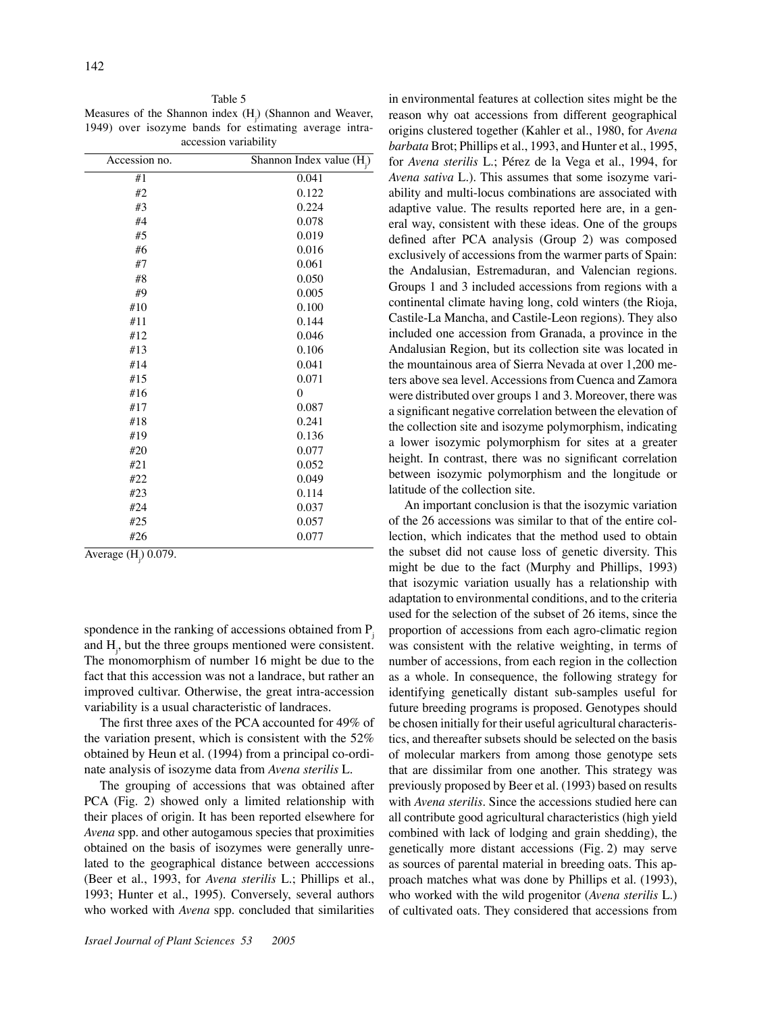Table 5

Measures of the Shannon index  $(H_j)$  (Shannon and Weaver, 1949) over isozyme bands for estimating average intraaccession variability

| Accession no. | Shannon Index value (H <sub>i</sub> ) |
|---------------|---------------------------------------|
| #1            | 0.041                                 |
| #2            | 0.122                                 |
| #3            | 0.224                                 |
| #4            | 0.078                                 |
| #5            | 0.019                                 |
| #6            | 0.016                                 |
| #7            | 0.061                                 |
| #8            | 0.050                                 |
| #9            | 0.005                                 |
| #10           | 0.100                                 |
| #11           | 0.144                                 |
| #12           | 0.046                                 |
| #13           | 0.106                                 |
| #14           | 0.041                                 |
| #15           | 0.071                                 |
| #16           | $\overline{0}$                        |
| #17           | 0.087                                 |
| #18           | 0.241                                 |
| #19           | 0.136                                 |
| #20           | 0.077                                 |
| #21           | 0.052                                 |
| #22           | 0.049                                 |
| #23           | 0.114                                 |
| #24           | 0.037                                 |
| #25           | 0.057                                 |
| #26           | 0.077                                 |
|               |                                       |

Average (H<sub>j</sub>) 0.079.

spondence in the ranking of accessions obtained from  $P_i$ and  $H_{j}$ , but the three groups mentioned were consistent. The monomorphism of number 16 might be due to the fact that this accession was not a landrace, but rather an improved cultivar. Otherwise, the great intra-accession variability is a usual characteristic of landraces.

The first three axes of the PCA accounted for 49% of the variation present, which is consistent with the 52% obtained by Heun et al. (1994) from a principal co-ordinate analysis of isozyme data from *Avena sterilis* L.

The grouping of accessions that was obtained after PCA (Fig. 2) showed only a limited relationship with their places of origin. It has been reported elsewhere for *Avena* spp. and other autogamous species that proximities obtained on the basis of isozymes were generally unrelated to the geographical distance between acccessions (Beer et al., 1993, for *Avena sterilis* L.; Phillips et al., 1993; Hunter et al., 1995). Conversely, several authors who worked with *Avena* spp. concluded that similarities in environmental features at collection sites might be the reason why oat accessions from different geographical origins clustered together (Kahler et al., 1980, for *Avena barbata* Brot; Phillips et al., 1993, and Hunter et al., 1995, for *Avena sterilis* L.; Pérez de la Vega et al., 1994, for *Avena sativa* L.). This assumes that some isozyme variability and multi-locus combinations are associated with adaptive value. The results reported here are, in a general way, consistent with these ideas. One of the groups defined after PCA analysis (Group 2) was composed exclusively of accessions from the warmer parts of Spain: the Andalusian, Estremaduran, and Valencian regions. Groups 1 and 3 included accessions from regions with a continental climate having long, cold winters (the Rioja, Castile-La Mancha, and Castile-Leon regions). They also included one accession from Granada, a province in the Andalusian Region, but its collection site was located in the mountainous area of Sierra Nevada at over 1,200 meters above sea level. Accessions from Cuenca and Zamora were distributed over groups 1 and 3. Moreover, there was a significant negative correlation between the elevation of the collection site and isozyme polymorphism, indicating a lower isozymic polymorphism for sites at a greater height. In contrast, there was no significant correlation between isozymic polymorphism and the longitude or latitude of the collection site.

An important conclusion is that the isozymic variation of the 26 accessions was similar to that of the entire collection, which indicates that the method used to obtain the subset did not cause loss of genetic diversity. This might be due to the fact (Murphy and Phillips, 1993) that isozymic variation usually has a relationship with adaptation to environmental conditions, and to the criteria used for the selection of the subset of 26 items, since the proportion of accessions from each agro-climatic region was consistent with the relative weighting, in terms of number of accessions, from each region in the collection as a whole. In consequence, the following strategy for identifying genetically distant sub-samples useful for future breeding programs is proposed. Genotypes should be chosen initially for their useful agricultural characteristics, and thereafter subsets should be selected on the basis of molecular markers from among those genotype sets that are dissimilar from one another. This strategy was previously proposed by Beer et al. (1993) based on results with *Avena sterilis*. Since the accessions studied here can all contribute good agricultural characteristics (high yield combined with lack of lodging and grain shedding), the genetically more distant accessions (Fig. 2) may serve as sources of parental material in breeding oats. This approach matches what was done by Phillips et al. (1993), who worked with the wild progenitor (*Avena sterilis* L.) of cultivated oats. They considered that accessions from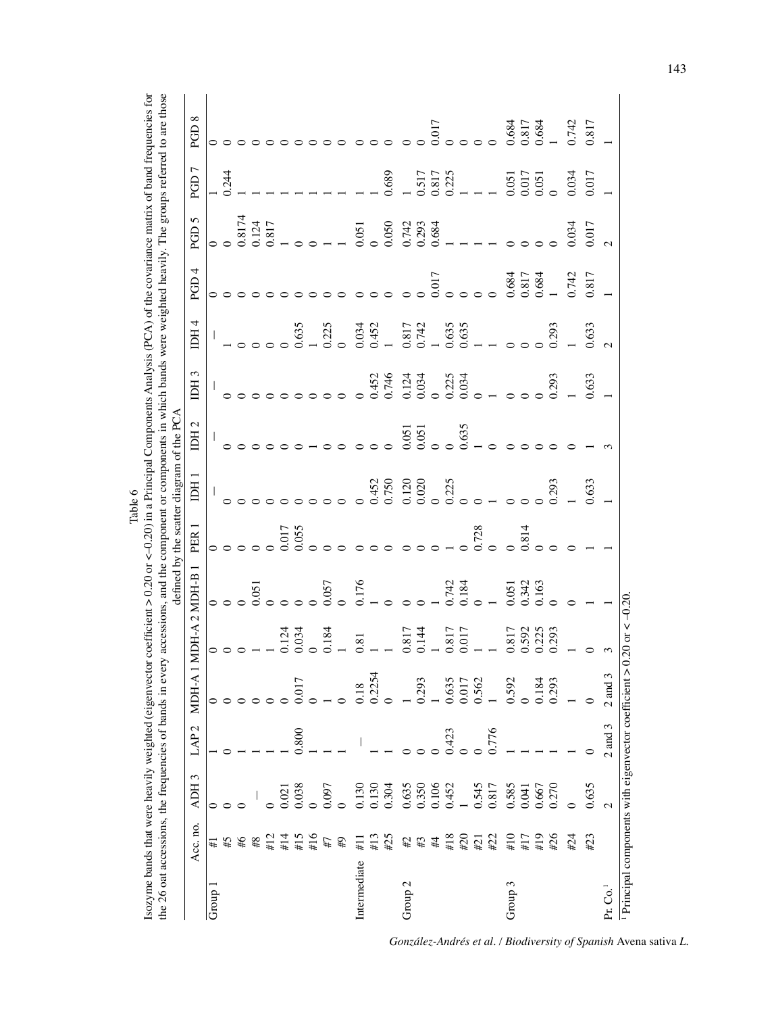|         | or coefficient $> 0.20$ or $< 0.20$ ) in a Principal Components Analysis (PCA) of the covariance matrix of band frequencies for | the 26 oat accessions, the frequencies of bands in every accessions, and the component or components in which bands were weighted heavily. The groups referred to are those |                                           |                                                                                   |  |
|---------|---------------------------------------------------------------------------------------------------------------------------------|-----------------------------------------------------------------------------------------------------------------------------------------------------------------------------|-------------------------------------------|-----------------------------------------------------------------------------------|--|
|         |                                                                                                                                 |                                                                                                                                                                             |                                           |                                                                                   |  |
|         |                                                                                                                                 |                                                                                                                                                                             |                                           |                                                                                   |  |
|         |                                                                                                                                 |                                                                                                                                                                             |                                           |                                                                                   |  |
|         |                                                                                                                                 |                                                                                                                                                                             |                                           |                                                                                   |  |
|         |                                                                                                                                 |                                                                                                                                                                             |                                           |                                                                                   |  |
|         |                                                                                                                                 |                                                                                                                                                                             | defined by the scatter diagram of the PCA |                                                                                   |  |
| Table 6 |                                                                                                                                 |                                                                                                                                                                             |                                           |                                                                                   |  |
|         |                                                                                                                                 |                                                                                                                                                                             |                                           |                                                                                   |  |
|         |                                                                                                                                 |                                                                                                                                                                             |                                           | Acc.no. ADH3 LAP2 MDH-A1MDH-A2MDH-B1 PER1 IDH1 IDH2 IDH3 IDH4 PGD4 PGD5 PGD7 PGD8 |  |
|         |                                                                                                                                 |                                                                                                                                                                             |                                           |                                                                                   |  |
|         |                                                                                                                                 |                                                                                                                                                                             |                                           |                                                                                   |  |
|         |                                                                                                                                 |                                                                                                                                                                             |                                           |                                                                                   |  |
|         |                                                                                                                                 |                                                                                                                                                                             |                                           |                                                                                   |  |
|         | isozyme bands that were heavily weighted (eigenvector                                                                           |                                                                                                                                                                             |                                           |                                                                                   |  |
|         |                                                                                                                                 |                                                                                                                                                                             |                                           |                                                                                   |  |

|                                                   |                                           |                                                                 |                  |                |                                  |                                                                       |                  | defined by the scatter diagram of the PCA |                                               |                                                   |                             |                                                             |                        |                                                                      |                           |
|---------------------------------------------------|-------------------------------------------|-----------------------------------------------------------------|------------------|----------------|----------------------------------|-----------------------------------------------------------------------|------------------|-------------------------------------------|-----------------------------------------------|---------------------------------------------------|-----------------------------|-------------------------------------------------------------|------------------------|----------------------------------------------------------------------|---------------------------|
|                                                   | Acc. no.                                  | ADH <sub>3</sub>                                                | LAP <sub>2</sub> | MDH-A          | 1 MDH-A 2 MDH-B 1                |                                                                       | PER <sub>1</sub> | IDH <sub>1</sub>                          | IDH <sub>2</sub>                              | IDH <sub>3</sub>                                  | IDH <sub>4</sub>            | PGD4                                                        | PGD <sub>5</sub>       | PGD7                                                                 | PGD <sub>8</sub>          |
| Group 1                                           |                                           | 0                                                               |                  | $\circ$        |                                  |                                                                       |                  |                                           |                                               |                                                   |                             |                                                             |                        |                                                                      |                           |
|                                                   |                                           |                                                                 |                  |                |                                  |                                                                       |                  |                                           |                                               |                                                   |                             |                                                             |                        | 0.244                                                                |                           |
|                                                   | $#15$<br>$#24$                            |                                                                 |                  |                |                                  |                                                                       |                  |                                           |                                               |                                                   |                             |                                                             | $\frac{0.8174}{0.124}$ |                                                                      |                           |
|                                                   |                                           |                                                                 |                  |                |                                  |                                                                       |                  |                                           |                                               |                                                   |                             |                                                             |                        |                                                                      |                           |
|                                                   | #12                                       |                                                                 |                  |                |                                  | $\begin{array}{c} 0.051 \\ 0 \end{array}$                             |                  |                                           |                                               |                                                   |                             |                                                             | 0.817                  |                                                                      |                           |
|                                                   | #14                                       |                                                                 |                  |                | 124<br>1034                      |                                                                       | 0.017            |                                           |                                               |                                                   |                             |                                                             |                        |                                                                      |                           |
|                                                   | $\begin{array}{c} 415 \\ 416 \end{array}$ | $\begin{array}{c} 0.021 \\ 0.038 \\ 0.097 \\ 0.097 \end{array}$ | 0.800            | 1.017          |                                  |                                                                       |                  |                                           |                                               |                                                   | 0.635                       |                                                             |                        |                                                                      |                           |
|                                                   |                                           |                                                                 |                  |                |                                  |                                                                       |                  |                                           |                                               |                                                   |                             |                                                             |                        |                                                                      |                           |
|                                                   | $^{#7}_{#}$                               |                                                                 |                  |                | 0.184                            | 0.057                                                                 |                  |                                           |                                               |                                                   | 0.225                       |                                                             |                        |                                                                      |                           |
|                                                   |                                           |                                                                 |                  |                |                                  |                                                                       |                  |                                           |                                               |                                                   |                             |                                                             |                        |                                                                      |                           |
| Intermediate                                      | #11                                       |                                                                 |                  | 0.18           | 0.81                             |                                                                       |                  |                                           |                                               |                                                   |                             |                                                             |                        |                                                                      |                           |
|                                                   | #13                                       |                                                                 |                  | 0.2254         |                                  |                                                                       |                  |                                           |                                               |                                                   |                             |                                                             |                        |                                                                      |                           |
|                                                   | #25                                       | 0.130<br>0.130<br>0.304                                         |                  |                |                                  | $\frac{176}{01000}$                                                   |                  | 0.452<br>0.750                            |                                               | 0.452<br>0.746                                    | 0.034<br>0.452<br>1         |                                                             |                        | 0.689                                                                |                           |
| Group $2$                                         |                                           | 0.635<br>0.350<br>0.106<br>0.452                                |                  |                | $0.817$<br>0.144                 |                                                                       |                  |                                           | $\begin{matrix}0.051\0.051\0 & 0\end{matrix}$ |                                                   | 0.817<br>0.742              |                                                             |                        |                                                                      |                           |
|                                                   | $\#3$ $\#4$                               |                                                                 |                  | 0.293          |                                  |                                                                       |                  |                                           |                                               |                                                   |                             |                                                             |                        |                                                                      |                           |
|                                                   |                                           |                                                                 |                  |                |                                  |                                                                       |                  |                                           |                                               |                                                   |                             |                                                             |                        |                                                                      |                           |
|                                                   | $\#18$                                    |                                                                 | 0.423            | 0.635          | 0.817                            | $0.742$<br>$0.184$                                                    |                  |                                           |                                               |                                                   |                             |                                                             |                        |                                                                      |                           |
|                                                   | #20                                       |                                                                 |                  | 0.017<br>0.562 |                                  |                                                                       |                  |                                           | 0.635                                         |                                                   |                             |                                                             |                        |                                                                      |                           |
|                                                   | #21                                       |                                                                 |                  |                |                                  |                                                                       | 0.728            |                                           |                                               |                                                   |                             |                                                             |                        |                                                                      |                           |
|                                                   | #22                                       | $0.545$<br>0.817                                                | 0.776            |                |                                  | $\begin{array}{c} 0 \\ 1 \\ 0.051 \\ 0.342 \\ 0.163 \\ 0 \end{array}$ |                  | $0.120$<br>$0.020$<br>$0.225$<br>$0.25$   |                                               | $1134$<br>$0.034$<br>$0.000000000$<br>$0.0000000$ | $0.635$<br>$0.635$<br>$  0$ |                                                             |                        | $\begin{array}{c} 0.517 \\ 0.817 \\ 0.225 \\ 1 \\ -1 \\ \end{array}$ |                           |
| Group 3                                           | #10                                       |                                                                 |                  | 0.592          | 0.817<br>0.592<br>0.225<br>0.293 |                                                                       |                  |                                           |                                               |                                                   |                             |                                                             |                        | $\begin{array}{c} 0.051 \\ 0.017 \\ 0.051 \\ 0.051 \end{array}$      | $0.684$<br>0.817<br>0.684 |
|                                                   | #17                                       | $\begin{array}{c} 0.585 \\ 0.041 \\ 0.667 \\ 0.270 \end{array}$ |                  |                |                                  |                                                                       | 0.814            |                                           |                                               |                                                   |                             |                                                             |                        |                                                                      |                           |
|                                                   | #19                                       |                                                                 |                  | 0.184          |                                  |                                                                       |                  |                                           |                                               |                                                   |                             |                                                             |                        |                                                                      |                           |
|                                                   | #26                                       |                                                                 |                  | 0.293          |                                  |                                                                       |                  | 0.293                                     |                                               | 0.293                                             | 0.293                       | $\begin{array}{c} 0.684 \\ 0.817 \\ 0.684 \\ 1 \end{array}$ |                        |                                                                      |                           |
|                                                   | #24                                       |                                                                 |                  |                |                                  |                                                                       |                  |                                           |                                               |                                                   |                             | 0.742                                                       | 0.34                   | 0.034                                                                | 0.742                     |
|                                                   | #23                                       | 0.635                                                           |                  |                |                                  |                                                                       |                  | 0.633                                     |                                               | 0.633                                             | 0.633                       | 0.817                                                       | 0.017                  | 0.017                                                                | $0.817$                   |
| Pr. Co. <sup>1</sup>                              |                                           |                                                                 | $2$ and $3$      | $2$ and $3$    |                                  |                                                                       |                  |                                           |                                               |                                                   |                             |                                                             |                        |                                                                      |                           |
| Principal components with eigenvector coefficient |                                           |                                                                 |                  |                | $> 0.20$ or $< -0.20$            |                                                                       |                  |                                           |                                               |                                                   |                             |                                                             |                        |                                                                      |                           |

*González-Andrés et al. / Biodiversity of Spanish* Avena sativa *L.*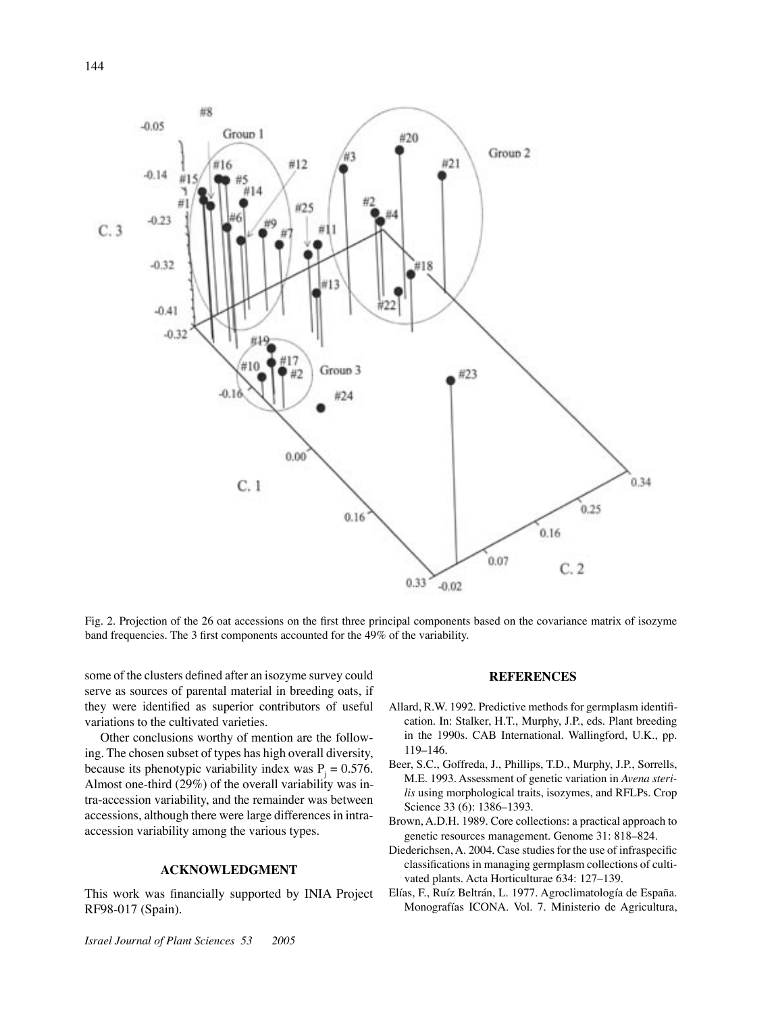

Fig. 2. Projection of the 26 oat accessions on the first three principal components based on the covariance matrix of isozyme band frequencies. The 3 first components accounted for the 49% of the variability.

some of the clusters defined after an isozyme survey could serve as sources of parental material in breeding oats, if they were identified as superior contributors of useful variations to the cultivated varieties.

Other conclusions worthy of mention are the following. The chosen subset of types has high overall diversity, because its phenotypic variability index was  $P_i = 0.576$ . Almost one-third (29%) of the overall variability was intra-accession variability, and the remainder was between accessions, although there were large differences in intraaccession variability among the various types.

## **ACKNOWLEDGMENT**

This work was financially supported by INIA Project RF98-017 (Spain).

### **REFERENCES**

- Allard, R.W. 1992. Predictive methods for germplasm identification. In: Stalker, H.T., Murphy, J.P., eds. Plant breeding in the 1990s. CAB International. Wallingford, U.K., pp. 119–146.
- Beer, S.C., Goffreda, J., Phillips, T.D., Murphy, J.P., Sorrells, M.E. 1993. Assessment of genetic variation in *Avena sterilis* using morphological traits, isozymes, and RFLPs. Crop Science 33 (6): 1386–1393.
- Brown, A.D.H. 1989. Core collections: a practical approach to genetic resources management. Genome 31: 818–824.
- Diederichsen, A. 2004. Case studies for the use of infraspecific classifications in managing germplasm collections of cultivated plants. Acta Horticulturae 634: 127–139.
- Elías, F., Ruíz Beltrán, L. 1977. Agroclimatología de España. Monografías ICONA. Vol. 7. Ministerio de Agricultura,